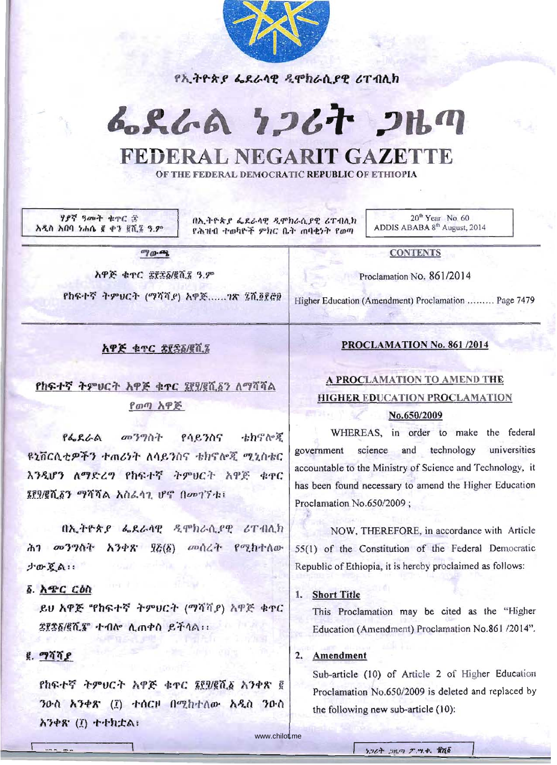

<u>የኢትዮጵያ ፌደራሳዊ ዲሞክራሲያዊ ሪፐብሊክ</u>

# 6.86A 7267 2HM

# **FEDERAL NEGARIT GAZETTE**  FEDERAL NEGARIT GAZETTE

OF THE FEDERAL DEMOCRATIC REPUBLIC OF ETHIOPIA OF THE FEDERAL DEMOCRATIC REPUBLIC OF ETHIOPIA

'I J>7'/ *'}oo....* ~1'C *:s ነያና ዓመት ቁ*ተር ፳<br>ዲስ አበባ ነሐሴ ፪ ቀን ፪ሺ፮ ዓ.ም

በኢትዮጵያ ፌደራላዊ ዲሞክራሲያዊ ሪፐብሊክ የሕዝብ ተወካዮች ምክር ቤት ጠባቂንት የወጣ

 $20<sup>th</sup> Year$  No. 60 ADDIS ABABA 8<sup>th</sup> August, 2014

 $70 - 9$ 

**አዋጅ ቁ**ጥር *ጀ*፻፳፩/፪ሺ፯ ዓ.ም

.<br>የከፍተኛ ትምሀርት (ማሻሻ*ያ*) አ<u>ዋጅ.......1ጽ ፤ሺ§፻፸</u>፬ <mark>:</mark> o e cu

CONTENTS CONTENTS Proclamation No. 861/2014

Higher Education (Amendment) Proclamation ......... Page 7479

#### አዋጅ ቁተር ያደኛል/፪ሺ፯

የከፍተኛ ትምሀርት አዋጅ ቁተር **የየሃ**ኛሺ፩ን ለማሻሻል <u>የወጣ አዋጅ</u>

 $\mathsf{P6}\mathsf{RCA}$  መንግስት የሳይንስና ቴክኖሎጂ ~~iicfl.t?':y.'} +m6~T *t\l).,e* '}{)e; -thljfr>}( OIf.~{)-tC ftnCfl-tfiF-'J hm V-f- My/>f) -c TA". 'T t'rC .*ንዲሆን ለማድረግ የከፍተኛ ትምህርት አዋጅ ቁ*ምር Uj/fH'Ui'} *D?ifif* A ilfl~A1. Iflj (l*OD*11-l:; ንዲሆን <mark>ለማድረግ የከፍተኛ ትምሀርት አዋጅ ቁ</mark>ዋር

በኢትዮጵያ ፌደራሳዊ ዲሞክራሲያዊ ሪፐብሊክ h<sup>1</sup> *o***D**<sup>3</sup> 70<sup>1</sup> h<sup>3</sup> *b*<sub>3</sub> *m*<sub>1</sub> *(i) on*<sub>1</sub> *c*<sup>n</sup><sub>1</sub> h<sub>1</sub><sup>*h*<sub>1</sub></sub> *h*<sub>1</sub><sup>*h*<sub>0</sub></sub> *h*<sub>1</sub><sup>*h*</sup><sub>0</sub><sup>*h*</sup><sub>1</sub><sup>*h*</sup><sub>0</sub><sup>*h*</sup><sub>1</sub><sup>*h*</sup><sub>1</sub><sup>*h*</sup><sub>1</sub><sup>*h*</sup><sub>1</sub><sup>*h*</sup><sub>1</sub><sup>*h*</sup><sub>1</sub><sup>*h*</sup><sub>1</sub><sup>*h*</sup><sub>1</sub><sup>*h*</sup><sub>1</sub><sup>*h*</sup><sub>1</sub><sup>*h*</sup><sub>1</sub><sup>*h*</sup><sub>1</sub><sup>*h*</sup></sup></sup>  $J$  $\mathcal{F}$  $\mathcal{L}$  $\Lambda$ :

#### $\delta$ . አዋር ርዕስ

 $\bm{e}$ ሀ አዋጅ "የከፍተኛ ትምሀርት (ማሻሻያ) አዋጅ ቁጥር $\left|$ ይሀ እዋድ "የከፍተና *ተምህርተ ("ነ*ሳሳ,<br><mark>ই[</mark>ই፩/፪ሺ<mark>፻</mark>" ተብሎ ሲጠቀስ ይችሳል።

#### $g.977P$

fhፍተኛ ትምሀርት አዋጅ ቁጥር ፮፻፶/፪ሺ፩ አንቀጽ ፪ ንዑስ አንቀጽ (፲) ተሰርዞ በሚከተለው አዲስ ንዑስ  $\lambda$ 3+8' (I) ++h;tA:

### PROCLAMATION No. 861 /2014

## A PROCLAMATION TO AMEND THE A PROCLAMATION TO AMEND THE HIGHER EDUCATION PROCLAMATION HIGHER EDUCATION PROCLAMATION No.650/2009 No. 650/2009

WHEREAS, in order to make the federal WHEREAS, in order to make the federal government science and technology universities government science and technology universities accountable to the Ministry of Science and Technology, it accountable to the Ministry of Science and Technology, it has been found necessary to amend the Higher Education Proclamation No.650/2009;

NOW, THEREFORE, in accordance with Article Republic of Ethiopia, it is hereby proclaimed as follows:

#### 1. Short Title

This Proclamation may be cited as the "Higher This Proclamation may be cited as the "Higher Education (Amendment) Proclamation No.861 /2014".

#### 2. Amendment

ub-article (10) of Article 2 of Higher Education Sub-article (10) of Article 2 of Higher Education Proclamation No.650/2009 is deleted and replaced by the following new sub-article (10): the following new sub-aticle (10):

www.chilot.me